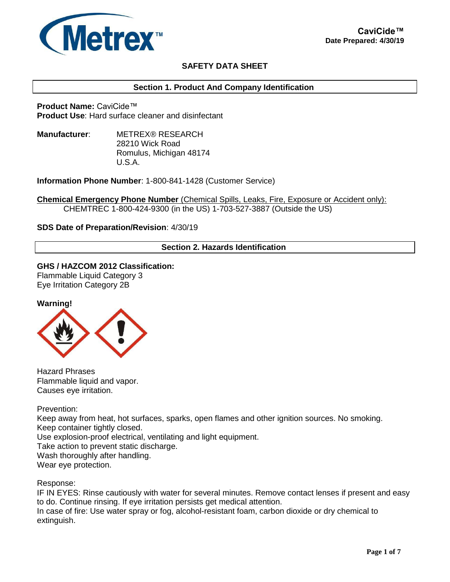

# **SAFETY DATA SHEET**

## **Section 1. Product And Company Identification**

**Product Name:** CaviCide™ **Product Use**: Hard surface cleaner and disinfectant

**Manufacturer**: METREX® RESEARCH 28210 Wick Road Romulus, Michigan 48174 U.S.A.

**Information Phone Number**: 1-800-841-1428 (Customer Service)

**Chemical Emergency Phone Number** (Chemical Spills, Leaks, Fire, Exposure or Accident only): CHEMTREC 1-800-424-9300 (in the US) 1-703-527-3887 (Outside the US)

### **SDS Date of Preparation/Revision**: 4/30/19

## **Section 2. Hazards Identification**

**GHS / HAZCOM 2012 Classification:** Flammable Liquid Category 3

Eye Irritation Category 2B





Hazard Phrases Flammable liquid and vapor. Causes eye irritation.

Prevention:

Keep away from heat, hot surfaces, sparks, open flames and other ignition sources. No smoking. Keep container tightly closed. Use explosion-proof electrical, ventilating and light equipment. Take action to prevent static discharge. Wash thoroughly after handling. Wear eye protection.

Response:

IF IN EYES: Rinse cautiously with water for several minutes. Remove contact lenses if present and easy to do. Continue rinsing. If eye irritation persists get medical attention. In case of fire: Use water spray or fog, alcohol-resistant foam, carbon dioxide or dry chemical to extinguish.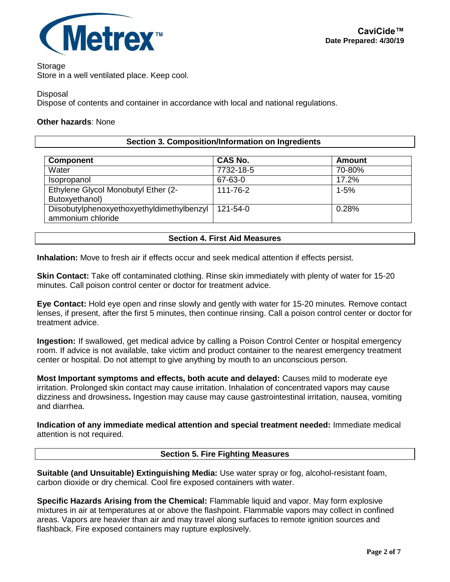

### **Storage**

Store in a well ventilated place. Keep cool.

**Disposal** 

Dispose of contents and container in accordance with local and national regulations.

## **Other hazards**: None

## **Section 3. Composition/Information on Ingredients**

| <b>Component</b>                                                | <b>CAS No.</b> | <b>Amount</b> |
|-----------------------------------------------------------------|----------------|---------------|
| Water                                                           | 7732-18-5      | 70-80%        |
| Isopropanol                                                     | 67-63-0        | 17.2%         |
| Ethylene Glycol Monobutyl Ether (2-<br>Butoxyethanol)           | 111-76-2       | $1 - 5%$      |
| Diisobutylphenoxyethoxyethyldimethylbenzyl<br>ammonium chloride | 121-54-0       | 0.28%         |

### **Section 4. First Aid Measures**

**Inhalation:** Move to fresh air if effects occur and seek medical attention if effects persist.

**Skin Contact:** Take off contaminated clothing. Rinse skin immediately with plenty of water for 15-20 minutes. Call poison control center or doctor for treatment advice.

**Eye Contact:** Hold eye open and rinse slowly and gently with water for 15-20 minutes. Remove contact lenses, if present, after the first 5 minutes, then continue rinsing. Call a poison control center or doctor for treatment advice.

**Ingestion:** If swallowed, get medical advice by calling a Poison Control Center or hospital emergency room. If advice is not available, take victim and product container to the nearest emergency treatment center or hospital. Do not attempt to give anything by mouth to an unconscious person.

**Most Important symptoms and effects, both acute and delayed:** Causes mild to moderate eye irritation. Prolonged skin contact may cause irritation. Inhalation of concentrated vapors may cause dizziness and drowsiness**.** Ingestion may cause may cause gastrointestinal irritation, nausea, vomiting and diarrhea.

**Indication of any immediate medical attention and special treatment needed:** Immediate medical attention is not required.

# **Section 5. Fire Fighting Measures**

**Suitable (and Unsuitable) Extinguishing Media:** Use water spray or fog, alcohol-resistant foam, carbon dioxide or dry chemical. Cool fire exposed containers with water.

**Specific Hazards Arising from the Chemical:** Flammable liquid and vapor. May form explosive mixtures in air at temperatures at or above the flashpoint. Flammable vapors may collect in confined areas. Vapors are heavier than air and may travel along surfaces to remote ignition sources and flashback. Fire exposed containers may rupture explosively.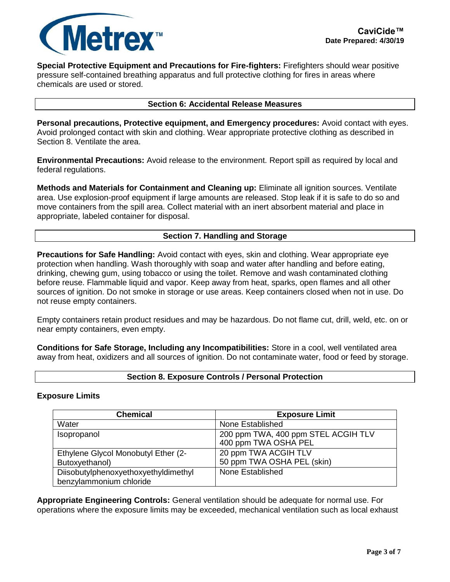

**Special Protective Equipment and Precautions for Fire-fighters:** Firefighters should wear positive pressure self-contained breathing apparatus and full protective clothing for fires in areas where chemicals are used or stored.

#### **Section 6: Accidental Release Measures**

**Personal precautions, Protective equipment, and Emergency procedures:** Avoid contact with eyes. Avoid prolonged contact with skin and clothing. Wear appropriate protective clothing as described in Section 8. Ventilate the area.

**Environmental Precautions:** Avoid release to the environment. Report spill as required by local and federal regulations.

**Methods and Materials for Containment and Cleaning up:** Eliminate all ignition sources. Ventilate area. Use explosion-proof equipment if large amounts are released. Stop leak if it is safe to do so and move containers from the spill area. Collect material with an inert absorbent material and place in appropriate, labeled container for disposal.

## **Section 7. Handling and Storage**

**Precautions for Safe Handling:** Avoid contact with eyes, skin and clothing. Wear appropriate eye protection when handling. Wash thoroughly with soap and water after handling and before eating, drinking, chewing gum, using tobacco or using the toilet. Remove and wash contaminated clothing before reuse. Flammable liquid and vapor. Keep away from heat, sparks, open flames and all other sources of ignition. Do not smoke in storage or use areas. Keep containers closed when not in use. Do not reuse empty containers.

Empty containers retain product residues and may be hazardous. Do not flame cut, drill, weld, etc. on or near empty containers, even empty.

**Conditions for Safe Storage, Including any Incompatibilities:** Store in a cool, well ventilated area away from heat, oxidizers and all sources of ignition. Do not contaminate water, food or feed by storage.

### **Section 8. Exposure Controls / Personal Protection**

### **Exposure Limits**

| <b>Chemical</b>                                                 | <b>Exposure Limit</b>                                       |
|-----------------------------------------------------------------|-------------------------------------------------------------|
| Water                                                           | None Established                                            |
| Isopropanol                                                     | 200 ppm TWA, 400 ppm STEL ACGIH TLV<br>400 ppm TWA OSHA PEL |
| Ethylene Glycol Monobutyl Ether (2-<br>Butoxyethanol)           | 20 ppm TWA ACGIH TLV<br>50 ppm TWA OSHA PEL (skin)          |
| Diisobutylphenoxyethoxyethyldimethyl<br>benzylammonium chloride | None Established                                            |

**Appropriate Engineering Controls:** General ventilation should be adequate for normal use. For operations where the exposure limits may be exceeded, mechanical ventilation such as local exhaust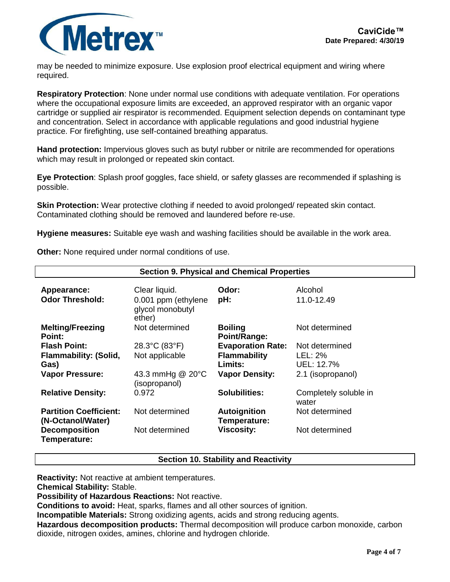

may be needed to minimize exposure. Use explosion proof electrical equipment and wiring where required.

**Respiratory Protection**: None under normal use conditions with adequate ventilation. For operations where the occupational exposure limits are exceeded, an approved respirator with an organic vapor cartridge or supplied air respirator is recommended. Equipment selection depends on contaminant type and concentration. Select in accordance with applicable regulations and good industrial hygiene practice. For firefighting, use self-contained breathing apparatus.

**Hand protection:** Impervious gloves such as butyl rubber or nitrile are recommended for operations which may result in prolonged or repeated skin contact.

**Eye Protection**: Splash proof goggles, face shield, or safety glasses are recommended if splashing is possible.

**Skin Protection:** Wear protective clothing if needed to avoid prolonged/ repeated skin contact. Contaminated clothing should be removed and laundered before re-use.

**Hygiene measures:** Suitable eye wash and washing facilities should be available in the work area.

| <b>Section 9. Physical and Chemical Properties</b> |                                      |                                |                                |  |
|----------------------------------------------------|--------------------------------------|--------------------------------|--------------------------------|--|
| Appearance:<br><b>Odor Threshold:</b>              | Clear liquid.<br>0.001 ppm (ethylene | Odor:<br>pH:                   | Alcohol<br>11.0-12.49          |  |
|                                                    | glycol monobutyl<br>ether)           |                                |                                |  |
| <b>Melting/Freezing</b><br>Point:                  | Not determined                       | <b>Boiling</b><br>Point/Range: | Not determined                 |  |
| <b>Flash Point:</b>                                | 28.3°C (83°F)                        | <b>Evaporation Rate:</b>       | Not determined                 |  |
| <b>Flammability: (Solid,</b>                       | Not applicable                       | <b>Flammability</b>            | LEL: 2%                        |  |
| Gas)                                               |                                      | Limits:                        | UEL: 12.7%                     |  |
| <b>Vapor Pressure:</b>                             | 43.3 mmHg @ 20°C<br>(isopropanol)    | <b>Vapor Density:</b>          | 2.1 (isopropanol)              |  |
| <b>Relative Density:</b>                           | 0.972                                | <b>Solubilities:</b>           | Completely soluble in<br>water |  |
| <b>Partition Coefficient:</b><br>(N-Octanol/Water) | Not determined                       | Autoignition<br>Temperature:   | Not determined                 |  |
| <b>Decomposition</b><br>Temperature:               | Not determined                       | <b>Viscosity:</b>              | Not determined                 |  |

**Other:** None required under normal conditions of use.

# **Section 10. Stability and Reactivity**

**Reactivity:** Not reactive at ambient temperatures.

**Chemical Stability:** Stable.

**Possibility of Hazardous Reactions:** Not reactive.

**Conditions to avoid:** Heat, sparks, flames and all other sources of ignition.

**Incompatible Materials:** Strong oxidizing agents, acids and strong reducing agents.

**Hazardous decomposition products:** Thermal decomposition will produce carbon monoxide, carbon dioxide, nitrogen oxides, amines, chlorine and hydrogen chloride.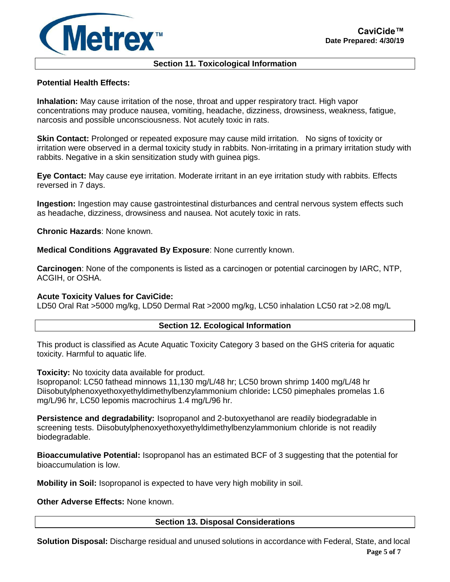

## **Section 11. Toxicological Information**

## **Potential Health Effects:**

**Inhalation:** May cause irritation of the nose, throat and upper respiratory tract. High vapor concentrations may produce nausea, vomiting, headache, dizziness, drowsiness, weakness, fatigue, narcosis and possible unconsciousness. Not acutely toxic in rats.

**Skin Contact:** Prolonged or repeated exposure may cause mild irritation. No signs of toxicity or irritation were observed in a dermal toxicity study in rabbits. Non-irritating in a primary irritation study with rabbits. Negative in a skin sensitization study with guinea pigs.

**Eye Contact:** May cause eye irritation. Moderate irritant in an eye irritation study with rabbits. Effects reversed in 7 days.

**Ingestion:** Ingestion may cause gastrointestinal disturbances and central nervous system effects such as headache, dizziness, drowsiness and nausea. Not acutely toxic in rats.

**Chronic Hazards**: None known.

**Medical Conditions Aggravated By Exposure**: None currently known.

**Carcinogen**: None of the components is listed as a carcinogen or potential carcinogen by IARC, NTP, ACGIH, or OSHA.

### **Acute Toxicity Values for CaviCide:**

LD50 Oral Rat >5000 mg/kg, LD50 Dermal Rat >2000 mg/kg, LC50 inhalation LC50 rat >2.08 mg/L

#### **Section 12. Ecological Information**

This product is classified as Acute Aquatic Toxicity Category 3 based on the GHS criteria for aquatic toxicity. Harmful to aquatic life.

**Toxicity:** No toxicity data available for product.

Isopropanol: LC50 fathead minnows 11,130 mg/L/48 hr; LC50 brown shrimp 1400 mg/L/48 hr Diisobutylphenoxyethoxyethyldimethylbenzylammonium chloride**:** LC50 pimephales promelas 1.6 mg/L/96 hr, LC50 lepomis macrochirus 1.4 mg/L/96 hr.

**Persistence and degradability:** Isopropanol and 2-butoxyethanol are readily biodegradable in screening tests. Diisobutylphenoxyethoxyethyldimethylbenzylammonium chloride is not readily biodegradable.

**Bioaccumulative Potential:** Isopropanol has an estimated BCF of 3 suggesting that the potential for bioaccumulation is low.

**Mobility in Soil:** Isopropanol is expected to have very high mobility in soil.

**Other Adverse Effects:** None known.

**Section 13. Disposal Considerations**

**Page 5 of 7 Solution Disposal:** Discharge residual and unused solutions in accordance with Federal, State, and local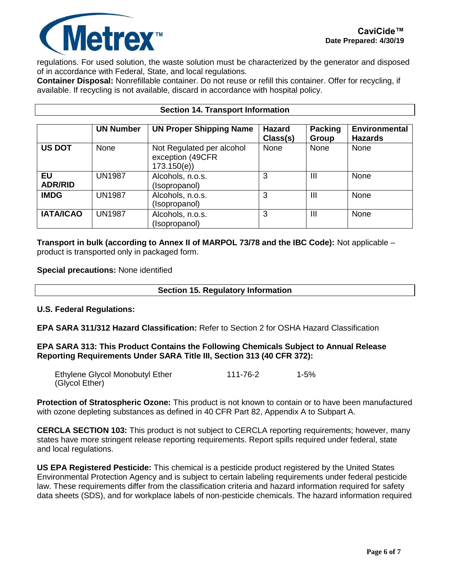

regulations. For used solution, the waste solution must be characterized by the generator and disposed of in accordance with Federal, State, and local regulations.

**Container Disposal:** Nonrefillable container. Do not reuse or refill this container. Offer for recycling, if available. If recycling is not available, discard in accordance with hospital policy.

|                             | <b>UN Number</b> | <b>UN Proper Shipping Name</b>                              | <b>Hazard</b><br>Class(s) | <b>Packing</b><br>Group | <b>Environmental</b><br><b>Hazards</b> |
|-----------------------------|------------------|-------------------------------------------------------------|---------------------------|-------------------------|----------------------------------------|
| <b>US DOT</b>               | None             | Not Regulated per alcohol<br>exception (49CFR<br>173.150(e) | None                      | None                    | None                                   |
| <b>EU</b><br><b>ADR/RID</b> | <b>UN1987</b>    | Alcohols, n.o.s.<br>(Isopropanol)                           | 3                         | Ш                       | None                                   |
| <b>IMDG</b>                 | <b>UN1987</b>    | Alcohols, n.o.s.<br>(Isopropanol)                           | 3                         | Ш                       | None                                   |
| <b>IATA/ICAO</b>            | <b>UN1987</b>    | Alcohols, n.o.s.<br>(Isopropanol)                           | 3                         | Ш                       | None                                   |

### **Section 14. Transport Information**

**Transport in bulk (according to Annex II of MARPOL 73/78 and the IBC Code):** Not applicable – product is transported only in packaged form.

**Special precautions:** None identified

|  | <b>Section 15. Regulatory Information</b> |  |
|--|-------------------------------------------|--|
|  |                                           |  |

### **U.S. Federal Regulations:**

**EPA SARA 311/312 Hazard Classification:** Refer to Section 2 for OSHA Hazard Classification

**EPA SARA 313: This Product Contains the Following Chemicals Subject to Annual Release Reporting Requirements Under SARA Title III, Section 313 (40 CFR 372):**

| Ethylene Glycol Monobutyl Ether | 111-76-2 | $1 - 5%$ |
|---------------------------------|----------|----------|
| (Glycol Ether)                  |          |          |

**Protection of Stratospheric Ozone:** This product is not known to contain or to have been manufactured with ozone depleting substances as defined in 40 CFR Part 82, Appendix A to Subpart A.

**CERCLA SECTION 103:** This product is not subject to CERCLA reporting requirements; however, many states have more stringent release reporting requirements. Report spills required under federal, state and local regulations.

**US EPA Registered Pesticide:** This chemical is a pesticide product registered by the United States Environmental Protection Agency and is subject to certain labeling requirements under federal pesticide law. These requirements differ from the classification criteria and hazard information required for safety data sheets (SDS), and for workplace labels of non-pesticide chemicals. The hazard information required